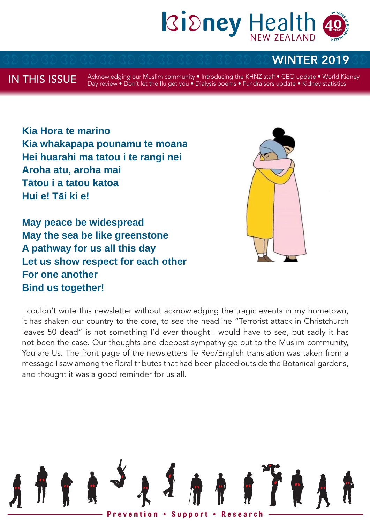

# WINTER 2019

IN THIS ISSUE

Acknowledging our Muslim community • Introducing the KHNZ staff • CEO update • World Kidney Day review • Don't let the flu get you • Dialysis poems • Fundraisers update • Kidney statistics

**Kia Hora te marino Kia whakapapa pounamu te moana Hei huarahi ma tatou i te rangi nei Aroha atu, aroha mai Tātou i a tatou katoa Hui e! Tāi ki e!**

**May peace be widespread May the sea be like greenstone A pathway for us all this day Let us show respect for each other For one another Bind us together!**



I couldn't write this newsletter without acknowledging the tragic events in my hometown, it has shaken our country to the core, to see the headline "Terrorist attack in Christchurch leaves 50 dead" is not something I'd ever thought I would have to see, but sadly it has not been the case. Our thoughts and deepest sympathy go out to the Muslim community, You are Us. The front page of the newsletters Te Reo/English translation was taken from a message I saw among the floral tributes that had been placed outside the Botanical gardens, and thought it was a good reminder for us all.

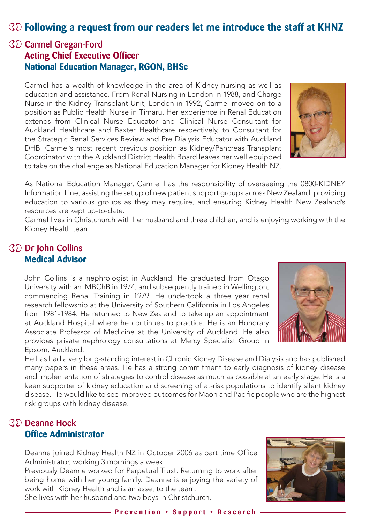## **Following a request from our readers let me introduce the staff at KHNZ**

### Carmel Gregan-Ford **Acting Chief Executive Officer National Education Manager, RGON, BHSc**

Carmel has a wealth of knowledge in the area of Kidney nursing as well as education and assistance. From Renal Nursing in London in 1988, and Charge Nurse in the Kidney Transplant Unit, London in 1992, Carmel moved on to a position as Public Health Nurse in Timaru. Her experience in Renal Education extends from Clinical Nurse Educator and Clinical Nurse Consultant for Auckland Healthcare and Baxter Healthcare respectively, to Consultant for the Strategic Renal Services Review and Pre Dialysis Educator with Auckland DHB. Carmel's most recent previous position as Kidney/Pancreas Transplant Coordinator with the Auckland District Health Board leaves her well equipped to take on the challenge as National Education Manager for Kidney Health NZ.



As National Education Manager, Carmel has the responsibility of overseeing the 0800-KIDNEY Information Line, assisting the set up of new patient support groups across New Zealand, providing education to various groups as they may require, and ensuring Kidney Health New Zealand's resources are kept up-to-date.

Carmel lives in Christchurch with her husband and three children, and is enjoying working with the Kidney Health team.

### **GD** Dr John Collins **Medical Advisor**

John Collins is a nephrologist in Auckland. He graduated from Otago University with an MBChB in 1974, and subsequently trained in Wellington, commencing Renal Training in 1979. He undertook a three year renal research fellowship at the University of Southern California in Los Angeles from 1981-1984. He returned to New Zealand to take up an appointment at Auckland Hospital where he continues to practice. He is an Honorary Associate Professor of Medicine at the University of Auckland. He also provides private nephrology consultations at Mercy Specialist Group in Epsom, Auckland.



He has had a very long-standing interest in Chronic Kidney Disease and Dialysis and has published many papers in these areas. He has a strong commitment to early diagnosis of kidney disease and implementation of strategies to control disease as much as possible at an early stage. He is a keen supporter of kidney education and screening of at-risk populations to identify silent kidney disease. He would like to see improved outcomes for Maori and Pacific people who are the highest risk groups with kidney disease.

### **RED** Deanne Hock **Office Administrator**

Deanne joined Kidney Health NZ in October 2006 as part time Office Administrator, working 3 mornings a week.

Previously Deanne worked for Perpetual Trust. Returning to work after being home with her young family. Deanne is enjoying the variety of work with Kidney Health and is an asset to the team.

She lives with her husband and two boys in Christchurch.

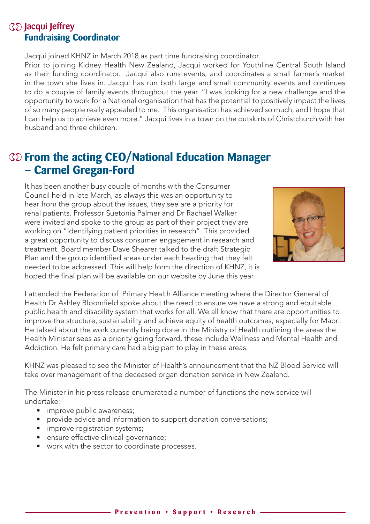### *G* Jacqui Jeffrey **Fundraising Coordinator**

Jacqui joined KHNZ in March 2018 as part time fundraising coordinator.

Prior to joining Kidney Health New Zealand, Jacqui worked for Youthline Central South Island as their funding coordinator. Jacqui also runs events, and coordinates a small farmer's market in the town she lives in. Jacqui has run both large and small community events and continues to do a couple of family events throughout the year. "I was looking for a new challenge and the opportunity to work for a National organisation that has the potential to positively impact the lives of so many people really appealed to me. This organisation has achieved so much, and I hope that I can help us to achieve even more." Jacqui lives in a town on the outskirts of Christchurch with her husband and three children.

# **From the acting CEO/National Education Manager – Carmel Gregan-Ford**

It has been another busy couple of months with the Consumer Council held in late March, as always this was an opportunity to hear from the group about the issues, they see are a priority for renal patients. Professor Suetonia Palmer and Dr Rachael Walker were invited and spoke to the group as part of their project they are working on "identifying patient priorities in research". This provided a great opportunity to discuss consumer engagement in research and treatment. Board member Dave Shearer talked to the draft Strategic Plan and the group identified areas under each heading that they felt needed to be addressed. This will help form the direction of KHNZ, it is hoped the final plan will be available on our website by June this year.



I attended the Federation of Primary Health Alliance meeting where the Director General of Health Dr Ashley Bloomfield spoke about the need to ensure we have a strong and equitable public health and disability system that works for all. We all know that there are opportunities to improve the structure, sustainability and achieve equity of health outcomes, especially for Maori. He talked about the work currently being done in the Ministry of Health outlining the areas the Health Minister sees as a priority going forward, these include Wellness and Mental Health and Addiction. He felt primary care had a big part to play in these areas.

KHNZ was pleased to see the Minister of Health's announcement that the NZ Blood Service will take over management of the deceased organ donation service in New Zealand.

The Minister in his press release enumerated a number of functions the new service will undertake:

- improve public awareness;
- provide advice and information to support donation conversations;
- improve registration systems;
- ensure effective clinical governance;
- work with the sector to coordinate processes.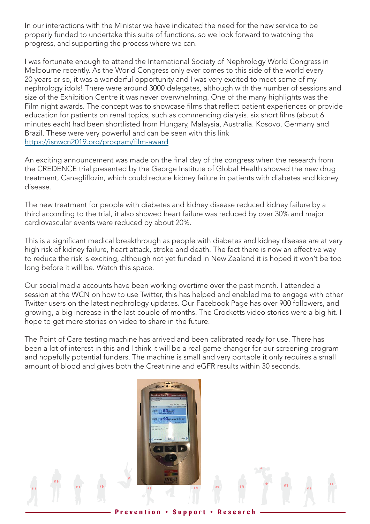In our interactions with the Minister we have indicated the need for the new service to be properly funded to undertake this suite of functions, so we look forward to watching the progress, and supporting the process where we can.

I was fortunate enough to attend the International Society of Nephrology World Congress in Melbourne recently. As the World Congress only ever comes to this side of the world every 20 years or so, it was a wonderful opportunity and I was very excited to meet some of my nephrology idols! There were around 3000 delegates, although with the number of sessions and size of the Exhibition Centre it was never overwhelming. One of the many highlights was the Film night awards. The concept was to showcase films that reflect patient experiences or provide education for patients on renal topics, such as commencing dialysis. six short films (about 6 minutes each) had been shortlisted from Hungary, Malaysia, Australia. Kosovo, Germany and Brazil. These were very powerful and can be seen with this link https://isnwcn2019.org/program/film-award

An exciting announcement was made on the final day of the congress when the research from the CREDENCE trial presented by the George Institute of Global Health showed the new drug treatment, Canagliflozin, which could reduce kidney failure in patients with diabetes and kidney disease.

The new treatment for people with diabetes and kidney disease reduced kidney failure by a third according to the trial, it also showed heart failure was reduced by over 30% and major cardiovascular events were reduced by about 20%.

This is a significant medical breakthrough as people with diabetes and kidney disease are at very high risk of kidney failure, heart attack, stroke and death. The fact there is now an effective way to reduce the risk is exciting, although not yet funded in New Zealand it is hoped it won't be too long before it will be. Watch this space.

Our social media accounts have been working overtime over the past month. I attended a session at the WCN on how to use Twitter, this has helped and enabled me to engage with other Twitter users on the latest nephrology updates. Our Facebook Page has over 900 followers, and growing, a big increase in the last couple of months. The Crocketts video stories were a big hit. I hope to get more stories on video to share in the future.

The Point of Care testing machine has arrived and been calibrated ready for use. There has been a lot of interest in this and I think it will be a real game changer for our screening program and hopefully potential funders. The machine is small and very portable it only requires a small amount of blood and gives both the Creatinine and eGFR results within 30 seconds.

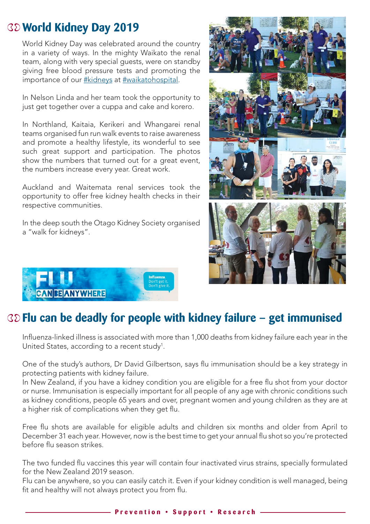# **World Kidney Day 2019**

World Kidney Day was celebrated around the country in a variety of ways. In the mighty Waikato the renal team, along with very special guests, were on standby giving free blood pressure tests and promoting the importance of our #kidneys at #waikatohospital.

In Nelson Linda and her team took the opportunity to just get together over a cuppa and cake and korero.

In Northland, Kaitaia, Kerikeri and Whangarei renal teams organised fun run walk events to raise awareness and promote a healthy lifestyle, its wonderful to see such great support and participation. The photos show the numbers that turned out for a great event, the numbers increase every year. Great work.

Auckland and Waitemata renal services took the opportunity to offer free kidney health checks in their respective communities.

In the deep south the Otago Kidney Society organised a "walk for kidneys".





# **Flu can be deadly for people with kidney failure – get immunised Flu can be deadly for people with kidney failure – get immunised**

Influenza-linked illness is associated with more than 1,000 deaths from kidney failure each year in the United States, according to a recent study<sup>1</sup>.

One of the study's authors, Dr David Gilbertson, says flu immunisation should be a key strategy in protecting patients with kidney failure.

.<br>In New Zealand, if you have a kidney condition you are eligible for a free flu shot from your doctor or nurse. Immunisation is especially important for all people of any age with chronic conditions such as kidney conditions, people 65 years and over, pregnant women and young children as they are at a higher risk of complications when they get flu.

Free flu shots are available for eligible adults and children six months and older from April to December 31 each year. However, now is the best time to get your annual flu shot so you're protected before flu season strikes. However, now is the best time to get your annual fluid fluid fluid fluid fluid fluid

The two funded flu vaccines this year will contain four inactivated virus strains, specially formulated for the New Zealand 2019 season. The two funded flu vaccines this year will contain four inactivated virus strains, shot so you're protected before flu season strikes.

Flu can be anywhere, so you can easily catch it. Even if your kidney condition is well managed, being<br>Season. It is the New Your Season. fit and healthy will not always protect you from flu.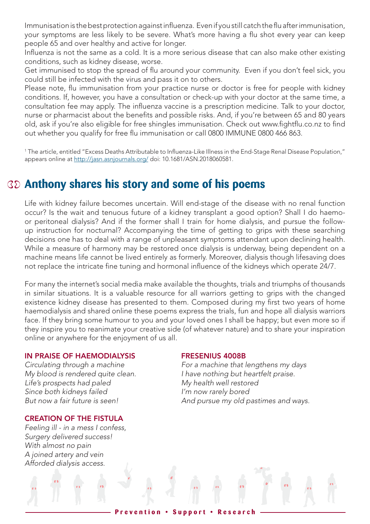Immunisation is the best protection against influenza. Even if you still catch the flu after immunisation, your symptoms are less likely to be severe. What's more having a flu shot every year can keep people 65 and over healthy and active for longer.

Influenza is not the same as a cold. It is a more serious disease that can also make other existing conditions, such as kidney disease, worse.

Get immunised to stop the spread of flu around your community. Even if you don't feel sick, you could still be infected with the virus and pass it on to others.

Please note, flu immunisation from your practice nurse or doctor is free for people with kidney conditions. If, however, you have a consultation or check-up with your doctor at the same time, a consultation fee may apply. The influenza vaccine is a prescription medicine. Talk to your doctor, nurse or pharmacist about the benefits and possible risks. And, if you're between 65 and 80 years old, ask if you're also eligible for free shingles immunisation. Check out www.fightflu.co.nz to find out whether you qualify for free flu immunisation or call 0800 IMMUNE 0800 466 863.

1 The article, entitled "Excess Deaths Attributable to Influenza-Like Illness in the End-Stage Renal Disease Population," appears online at http://jasn.asnjournals.org/ doi: 10.1681/ASN.2018060581.

# **Anthony shares his story and some of his poems**

Life with kidney failure becomes uncertain. Will end-stage of the disease with no renal function occur? Is the wait and tenuous future of a kidney transplant a good option? Shall I do haemoor peritoneal dialysis? And if the former shall I train for home dialysis, and pursue the followup instruction for nocturnal? Accompanying the time of getting to grips with these searching decisions one has to deal with a range of unpleasant symptoms attendant upon declining health. While a measure of harmony may be restored once dialysis is underway, being dependent on a machine means life cannot be lived entirely as formerly. Moreover, dialysis though lifesaving does not replace the intricate fine tuning and hormonal influence of the kidneys which operate 24/7.

For many the internet's social media make available the thoughts, trials and triumphs of thousands in similar situations. It is a valuable resource for all warriors getting to grips with the changed existence kidney disease has presented to them. Composed during my first two years of home haemodialysis and shared online these poems express the trials, fun and hope all dialysis warriors face. If they bring some humour to you and your loved ones I shall be happy; but even more so if they inspire you to reanimate your creative side (of whatever nature) and to share your inspiration online or anywhere for the enjoyment of us all.

#### IN PRAISE OF HAEMODIALYSIS FRESENIUS 4008B

Life's prospects had paled My health well restored *Since both kidneys failed I'm now rarely bored*

#### CREATION OF THE FISTULA

*Feeling ill - in a mess I confess, Surgery delivered success! With almost no pain A joined artery and vein Afforded dialysis access.*

*Circulating through a machine For a machine that lengthens my days My blood is rendered quite clean. I have nothing but heartfelt praise. But now a fair future is seen! And pursue my old pastimes and ways.*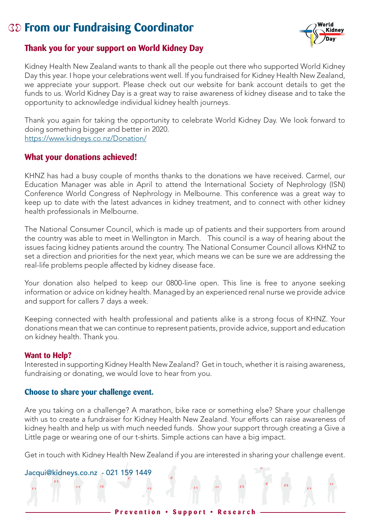# **From our Fundraising Coordinator**



### **Thank you for your support on World Kidney Day**

Kidney Health New Zealand wants to thank all the people out there who supported World Kidney Day this year. I hope your celebrations went well. If you fundraised for Kidney Health New Zealand, we appreciate your support. Please check out our website for bank account details to get the funds to us. World Kidney Day is a great way to raise awareness of kidney disease and to take the opportunity to acknowledge individual kidney health journeys.

Thank you again for taking the opportunity to celebrate World Kidney Day. We look forward to doing something bigger and better in 2020. https://www.kidneys.co.nz/Donation/

#### **What your donations achieved!**

KHNZ has had a busy couple of months thanks to the donations we have received. Carmel, our Education Manager was able in April to attend the International Society of Nephrology (ISN) Conference World Congress of Nephrology in Melbourne. This conference was a great way to keep up to date with the latest advances in kidney treatment, and to connect with other kidney health professionals in Melbourne.

The National Consumer Council, which is made up of patients and their supporters from around the country was able to meet in Wellington in March. This council is a way of hearing about the issues facing kidney patients around the country. The National Consumer Council allows KHNZ to set a direction and priorities for the next year, which means we can be sure we are addressing the real-life problems people affected by kidney disease face.

Your donation also helped to keep our 0800-line open. This line is free to anyone seeking information or advice on kidney health. Managed by an experienced renal nurse we provide advice and support for callers 7 days a week.

Keeping connected with health professional and patients alike is a strong focus of KHNZ. Your donations mean that we can continue to represent patients, provide advice, support and education on kidney health. Thank you.

#### **Want to Help?**

Interested in supporting Kidney Health New Zealand? Get in touch, whether it is raising awareness, fundraising or donating, we would love to hear from you.

#### **Choose to share your challenge event.**

Are you taking on a challenge? A marathon, bike race or something else? Share your challenge with us to create a fundraiser for Kidney Health New Zealand. Your efforts can raise awareness of kidney health and help us with much needed funds. Show your support through creating a Give a Little page or wearing one of our t-shirts. Simple actions can have a big impact.

Get in touch with Kidney Health New Zealand if you are interested in sharing your challenge event.

#### Jacqui@kidneys.co.nz - 021 159 1449